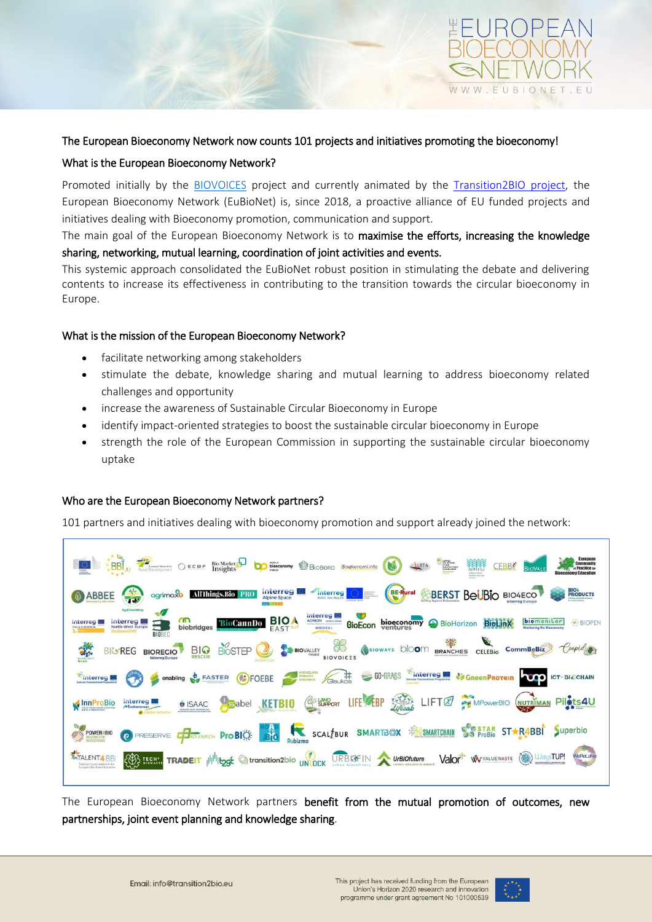

## The European Bioeconomy Network now counts 101 projects and initiatives promoting the bioeconomy!

## What is the European Bioeconomy Network?

Promoted initially by the [BIOVOICES](https://www.biovoices.eu/) project and currently animated by the [Transition2BIO project,](https://www.transition2bio.eu/) the European Bioeconomy Network (EuBioNet) is, since 2018, a proactive alliance of EU funded projects and initiatives dealing with Bioeconomy promotion, communication and support.

The main goal of the European Bioeconomy Network is to maximise the efforts, increasing the knowledge sharing, networking, mutual learning, coordination of joint activities and events.

This systemic approach consolidated the EuBioNet robust position in stimulating the debate and delivering contents to increase its effectiveness in contributing to the transition towards the circular bioeconomy in Europe.

# What is the mission of the European Bioeconomy Network?

- facilitate networking among stakeholders
- stimulate the debate, knowledge sharing and mutual learning to address bioeconomy related challenges and opportunity
- increase the awareness of Sustainable Circular Bioeconomy in Europe
- identify impact-oriented strategies to boost the sustainable circular bioeconomy in Europe
- strength the role of the European Commission in supporting the sustainable circular bioeconomy uptake

### Who are the European Bioeconomy Network partners?

101 partners and initiatives dealing with bioeconomy promotion and support already joined the network:

| BBI JU THE CELE BIOMarket De CORP BIOSCHIOP BIOSCOPTION<br>CANPES<br>DES MÉTRES<br>QUALIFICATIONS<br>DESCELLENCE<br>松松<br><b>Community</b><br><b>CEBBS</b><br>LBTA<br>et Practice :<br><b>LABER FOREST</b><br><b>INNOVATION LAB</b>                                             |
|---------------------------------------------------------------------------------------------------------------------------------------------------------------------------------------------------------------------------------------------------------------------------------|
| al <sup>lin</sup> interreg<br><b>BIO4</b><br>PRODUCTS<br>BE-Rural &BERST BellBIO BIO4ECO<br><b>Interreg</b><br>agrimax <b>b</b> All'Things.Bio PRO<br>ABBEE<br><b>Alpine Space</b><br><b>Baltic Sea Region</b><br>AgriChemWhey                                                  |
| <b>BioCannibo BIOA</b> ADRIGHT BIOECON<br>ന്ന<br>bioeconomy BioHorizon BioLinX<br>Interreg<br>biomonitor<br>BIOPEN<br>biobridges<br><b>ITALIA-SLOVENIJA</b><br><b>BIOBEC</b>                                                                                                    |
| CELEBIO CommBeBiz Coopid<br>BIOSTEP 3 BIOVALLEY 8 (BIOWAYS DIOOM BRANCHES<br><b>BIQ</b><br>RESCUE<br><b>BIGREG BIOREGIO</b><br><b>BIOVOICES</b>                                                                                                                                 |
| GIGLINGS CO-GRASS CREATING THE CHANGE OF CHANGES CHANGES CHANGES AND CHANGES CHANGES CHANGES OF CHANGES OF CHANGES OF CHANGES OF CHANGES OF CHANGES OF CHANGES OF CHANGES OF CHANGES OF CHANGES OF CHANGES OF CHANGES OF CHANG<br>GRENZELOOS<br>CHO C enabling & FASTER C FOEBE |
| KETBIO SUPOT LIFE EBP 2002 LIFT TO PE MPOWERS WUTNIMAN PILATS AU<br>Babel<br><b>é ISAAC</b><br>FORDY FOR 800-WASHIN INVENTION<br><b>GALIZABEANC ROCKA ANABENESS AND</b>                                                                                                         |
| SCALLEUR SMARTBOX SAMARTCHAIN STAR STAR STARABLE Superbio<br>O PRESERVE <b>CO-ENRICH</b> Pro BIC <b>BIC</b><br>POWER4BIO                                                                                                                                                        |
| ECOS TECHNIC TRADEIT ILI <sup>III</sup> ILOSE @ transition2bio UNOCK URBIGFIN A UrBIOfuture Valor <sup>t</sup> WV VALUEWASTE (AD WaysTUP!<br><b>WeReLaNa</b><br><b>ATALENT4 BBI</b><br>Training Future Leaders 4 the<br>European Blo-Based Industries                           |

The European Bioeconomy Network partners benefit from the mutual promotion of outcomes, new partnerships, joint event planning and knowledge sharing.